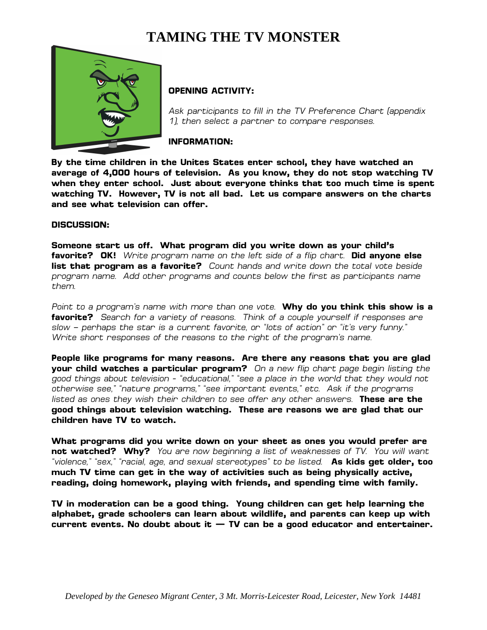# **TAMING THE TV MONSTER**



## **OPENING ACTIVITY:**

*Ask participants to fill in the TV Preference Chart (appendix 1), then select a partner to compare responses.*

**INFORMATION:**

**By the time children in the Unites States enter school, they have watched an average of 4,000 hours of television. As you know, they do not stop watching TV when they enter school. Just about everyone thinks that too much time is spent watching TV. However, TV is not all bad. Let us compare answers on the charts and see what television can offer.** 

## **DISCUSSION:**

**Someone start us off. What program did you write down as your child's favorite? OK!** *Write program name on the left side of a flip chart.* **Did anyone else list that program as a favorite?** *Count hands and write down the total vote beside program name. Add other programs and counts below the first as participants name them.*

*Point to a program's name with more than one vote.* **Why do you think this show is a favorite?** *Search for a variety of reasons. Think of a couple yourself if responses are slow – perhaps the star is a current favorite, or "lots of action" or "it's very funny." Write short responses of the reasons to the right of the program's name.* 

**People like programs for many reasons. Are there any reasons that you are glad your child watches a particular program?** *On a new flip chart page begin listing the good things about television - "educational," "see a place in the world that they would not otherwise see," "nature programs," "see important events," etc. Ask if the programs listed as ones they wish their children to see offer any other answers.* **These are the good things about television watching. These are reasons we are glad that our children have TV to watch.** 

**What programs did you write down on your sheet as ones you would prefer are not watched? Why?** *You are now beginning a list of weaknesses of TV. You will want "violence," "sex," "racial, age, and sexual stereotypes" to be listed.* **As kids get older, too much TV time can get in the way of activities such as being physically active, reading, doing homework, playing with friends, and spending time with family.** 

**TV in moderation can be a good thing. Young children can get help learning the alphabet, grade schoolers can learn about wildlife, and parents can keep up with current events. No doubt about it — TV can be a good educator and entertainer.**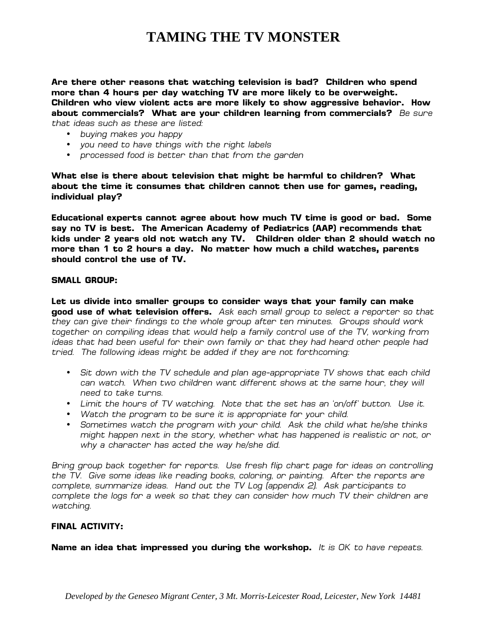## **TAMING THE TV MONSTER**

**Are there other reasons that watching television is bad? Children who spend more than 4 hours per day watching TV are more likely to be overweight. Children who view violent acts are more likely to show aggressive behavior. How about commercials? What are your children learning from commercials?** *Be sure that ideas such as these are listed:*

- *buying makes you happy*
- *you need to have things with the right labels*
- *processed food is better than that from the garden*

**What else is there about television that might be harmful to children? What about the time it consumes that children cannot then use for games, reading, individual play?** 

**Educational experts cannot agree about how much TV time is good or bad. Some say no TV is best. The American Academy of Pediatrics (AAP) recommends that kids under 2 years old not watch any TV. Children older than 2 should watch no more than 1 to 2 hours a day. No matter how much a child watches, parents should control the use of TV.**

#### **SMALL GROUP:**

**Let us divide into smaller groups to consider ways that your family can make good use of what television offers.** *Ask each small group to select a reporter so that they can give their findings to the whole group after ten minutes. Groups should work together on compiling ideas that would help a family control use of the TV, working from ideas that had been useful for their own family or that they had heard other people had tried. The following ideas might be added if they are not forthcoming:*

- *Sit down with the TV schedule and plan age-appropriate TV shows that each child*  can watch. When two children want different shows at the same hour, they will *need to take turns.*
- *Limit the hours of TV watching. Note that the set has an 'on/off' button. Use it.*
- *Watch the program to be sure it is appropriate for your child.*
- *Sometimes watch the program with your child. Ask the child what he/she thinks might happen next in the story, whether what has happened is realistic or not, or why a character has acted the way he/she did.*

*Bring group back together for reports. Use fresh flip chart page for ideas on controlling the TV. Give some ideas like reading books, coloring, or painting. After the reports are complete, summarize ideas. Hand out the TV Log (appendix 2). Ask participants to complete the logs for a week so that they can consider how much TV their children are watching.* 

## **FINAL ACTIVITY:**

**Name an idea that impressed you during the workshop.** *It is OK to have repeats.*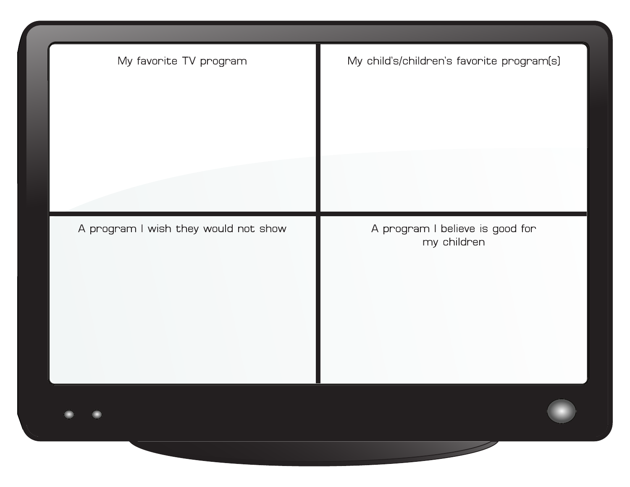